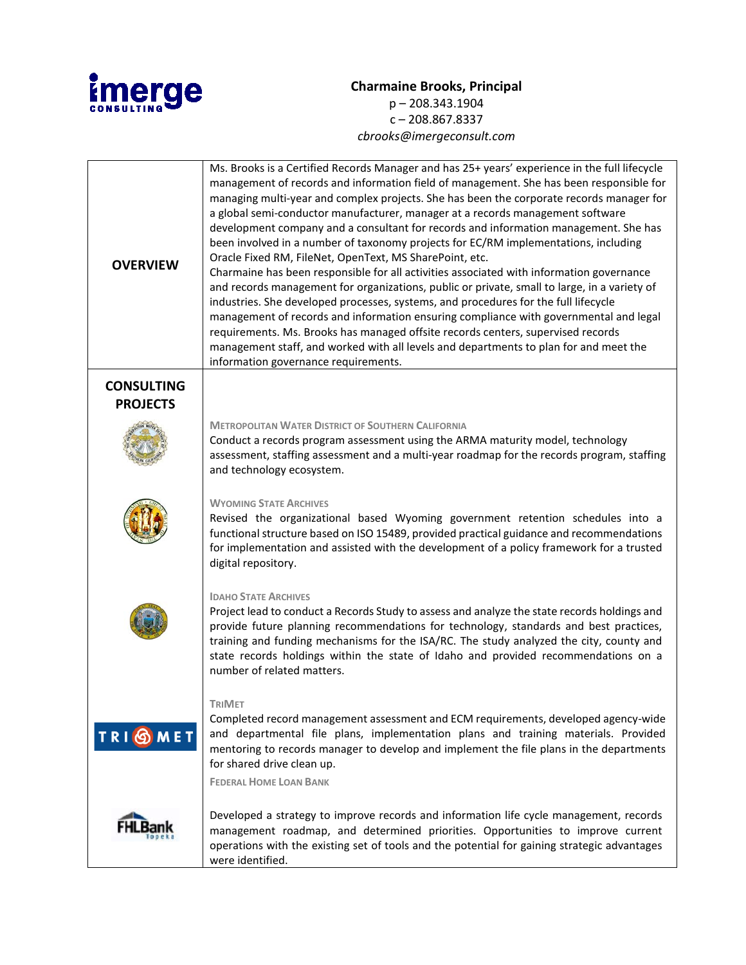

## **Charmaine Brooks, Principal** p – 208.343.1904  $c - 208.867.8337$ *cbrooks@imergeconsult.com*

| <b>OVERVIEW</b>                      | Ms. Brooks is a Certified Records Manager and has 25+ years' experience in the full lifecycle<br>management of records and information field of management. She has been responsible for<br>managing multi-year and complex projects. She has been the corporate records manager for<br>a global semi-conductor manufacturer, manager at a records management software<br>development company and a consultant for records and information management. She has<br>been involved in a number of taxonomy projects for EC/RM implementations, including<br>Oracle Fixed RM, FileNet, OpenText, MS SharePoint, etc.<br>Charmaine has been responsible for all activities associated with information governance<br>and records management for organizations, public or private, small to large, in a variety of<br>industries. She developed processes, systems, and procedures for the full lifecycle<br>management of records and information ensuring compliance with governmental and legal<br>requirements. Ms. Brooks has managed offsite records centers, supervised records<br>management staff, and worked with all levels and departments to plan for and meet the<br>information governance requirements. |
|--------------------------------------|-------------------------------------------------------------------------------------------------------------------------------------------------------------------------------------------------------------------------------------------------------------------------------------------------------------------------------------------------------------------------------------------------------------------------------------------------------------------------------------------------------------------------------------------------------------------------------------------------------------------------------------------------------------------------------------------------------------------------------------------------------------------------------------------------------------------------------------------------------------------------------------------------------------------------------------------------------------------------------------------------------------------------------------------------------------------------------------------------------------------------------------------------------------------------------------------------------------------|
| <b>CONSULTING</b><br><b>PROJECTS</b> |                                                                                                                                                                                                                                                                                                                                                                                                                                                                                                                                                                                                                                                                                                                                                                                                                                                                                                                                                                                                                                                                                                                                                                                                                   |
|                                      | <b>METROPOLITAN WATER DISTRICT OF SOUTHERN CALIFORNIA</b><br>Conduct a records program assessment using the ARMA maturity model, technology<br>assessment, staffing assessment and a multi-year roadmap for the records program, staffing<br>and technology ecosystem.                                                                                                                                                                                                                                                                                                                                                                                                                                                                                                                                                                                                                                                                                                                                                                                                                                                                                                                                            |
|                                      | <b>WYOMING STATE ARCHIVES</b><br>Revised the organizational based Wyoming government retention schedules into a<br>functional structure based on ISO 15489, provided practical guidance and recommendations<br>for implementation and assisted with the development of a policy framework for a trusted<br>digital repository.                                                                                                                                                                                                                                                                                                                                                                                                                                                                                                                                                                                                                                                                                                                                                                                                                                                                                    |
|                                      | <b>IDAHO STATE ARCHIVES</b><br>Project lead to conduct a Records Study to assess and analyze the state records holdings and<br>provide future planning recommendations for technology, standards and best practices,<br>training and funding mechanisms for the ISA/RC. The study analyzed the city, county and<br>state records holdings within the state of Idaho and provided recommendations on a<br>number of related matters.                                                                                                                                                                                                                                                                                                                                                                                                                                                                                                                                                                                                                                                                                                                                                                               |
| <b>TRIOMET</b>                       | TriMet<br>Completed record management assessment and ECM requirements, developed agency-wide<br>and departmental file plans, implementation plans and training materials. Provided<br>mentoring to records manager to develop and implement the file plans in the departments<br>for shared drive clean up.<br><b>FEDERAL HOME LOAN BANK</b>                                                                                                                                                                                                                                                                                                                                                                                                                                                                                                                                                                                                                                                                                                                                                                                                                                                                      |
|                                      | Developed a strategy to improve records and information life cycle management, records<br>management roadmap, and determined priorities. Opportunities to improve current<br>operations with the existing set of tools and the potential for gaining strategic advantages<br>were identified.                                                                                                                                                                                                                                                                                                                                                                                                                                                                                                                                                                                                                                                                                                                                                                                                                                                                                                                     |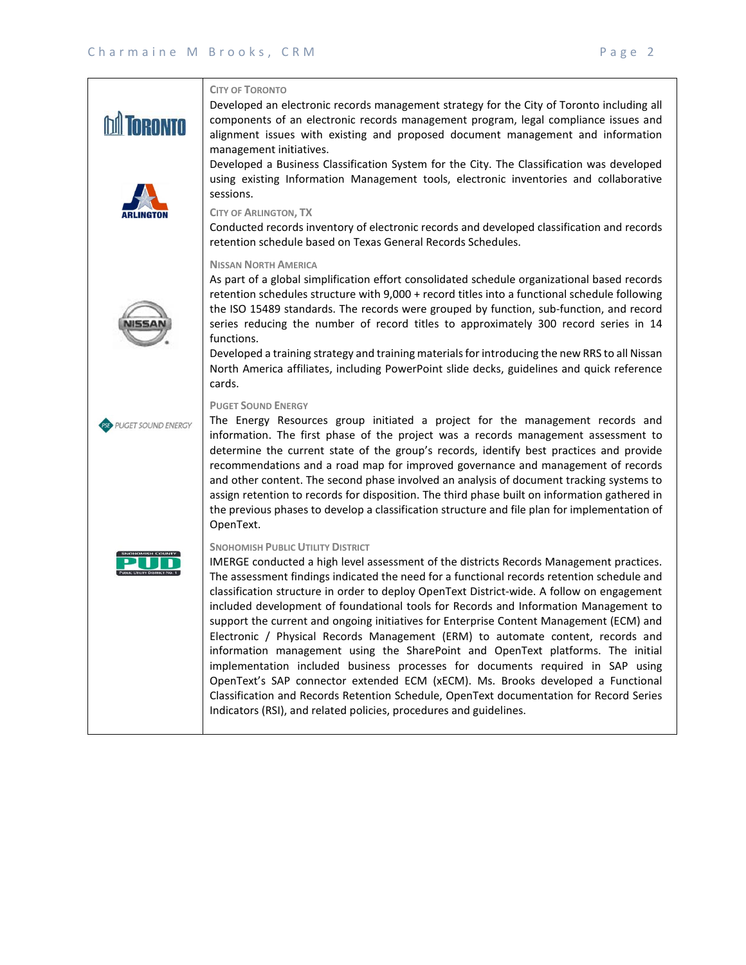|                           | <b>CITY OF TORONTO</b><br>Developed an electronic records management strategy for the City of Toronto including all<br>components of an electronic records management program, legal compliance issues and<br>alignment issues with existing and proposed document management and information<br>management initiatives.<br>Developed a Business Classification System for the City. The Classification was developed<br>using existing Information Management tools, electronic inventories and collaborative<br>sessions.<br><b>CITY OF ARLINGTON, TX</b>                                                                                                                                                                                                                                                                                                                                                                                                                                                                    |
|---------------------------|--------------------------------------------------------------------------------------------------------------------------------------------------------------------------------------------------------------------------------------------------------------------------------------------------------------------------------------------------------------------------------------------------------------------------------------------------------------------------------------------------------------------------------------------------------------------------------------------------------------------------------------------------------------------------------------------------------------------------------------------------------------------------------------------------------------------------------------------------------------------------------------------------------------------------------------------------------------------------------------------------------------------------------|
|                           | Conducted records inventory of electronic records and developed classification and records<br>retention schedule based on Texas General Records Schedules.                                                                                                                                                                                                                                                                                                                                                                                                                                                                                                                                                                                                                                                                                                                                                                                                                                                                     |
|                           | <b>NISSAN NORTH AMERICA</b><br>As part of a global simplification effort consolidated schedule organizational based records<br>retention schedules structure with 9,000 + record titles into a functional schedule following<br>the ISO 15489 standards. The records were grouped by function, sub-function, and record<br>series reducing the number of record titles to approximately 300 record series in 14<br>functions.<br>Developed a training strategy and training materials for introducing the new RRS to all Nissan<br>North America affiliates, including PowerPoint slide decks, guidelines and quick reference<br>cards.                                                                                                                                                                                                                                                                                                                                                                                        |
| <b>PUGET SOUND ENERGY</b> | <b>PUGET SOUND ENERGY</b><br>The Energy Resources group initiated a project for the management records and<br>information. The first phase of the project was a records management assessment to<br>determine the current state of the group's records, identify best practices and provide<br>recommendations and a road map for improved governance and management of records<br>and other content. The second phase involved an analysis of document tracking systems to<br>assign retention to records for disposition. The third phase built on information gathered in<br>the previous phases to develop a classification structure and file plan for implementation of<br>OpenText.                                                                                                                                                                                                                                                                                                                                     |
|                           | <b>SNOHOMISH PUBLIC UTILITY DISTRICT</b><br>IMERGE conducted a high level assessment of the districts Records Management practices.<br>The assessment findings indicated the need for a functional records retention schedule and<br>classification structure in order to deploy OpenText District-wide. A follow on engagement<br>included development of foundational tools for Records and Information Management to<br>support the current and ongoing initiatives for Enterprise Content Management (ECM) and<br>Electronic / Physical Records Management (ERM) to automate content, records and<br>information management using the SharePoint and OpenText platforms. The initial<br>implementation included business processes for documents required in SAP using<br>OpenText's SAP connector extended ECM (xECM). Ms. Brooks developed a Functional<br>Classification and Records Retention Schedule, OpenText documentation for Record Series<br>Indicators (RSI), and related policies, procedures and guidelines. |
|                           |                                                                                                                                                                                                                                                                                                                                                                                                                                                                                                                                                                                                                                                                                                                                                                                                                                                                                                                                                                                                                                |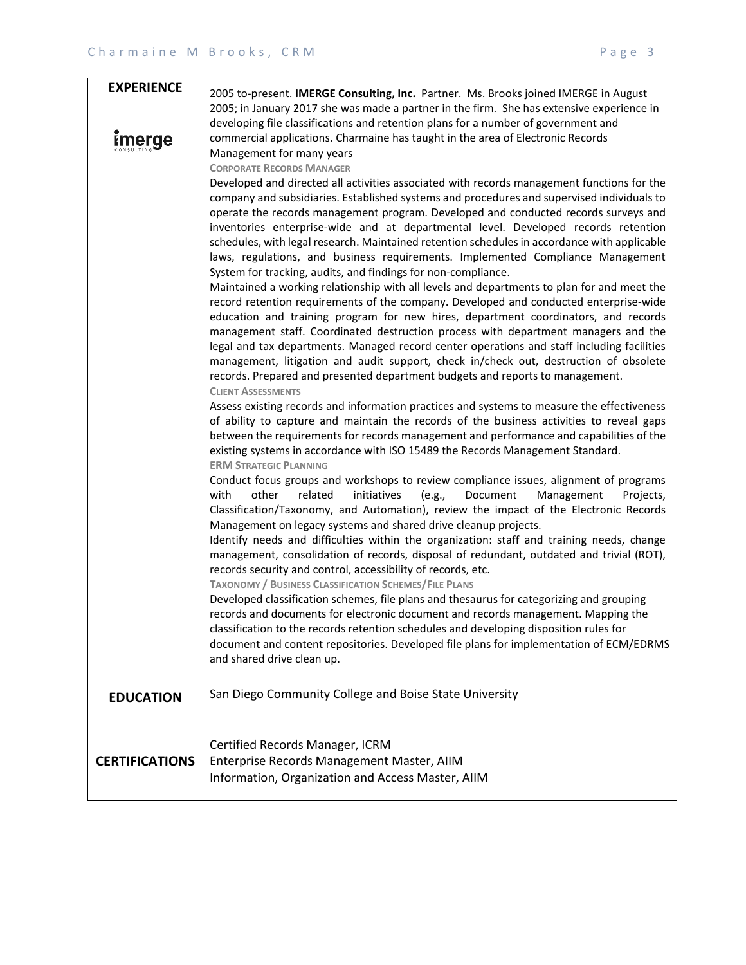| <b>EXPERIENCE</b>     | 2005 to-present. IMERGE Consulting, Inc. Partner. Ms. Brooks joined IMERGE in August                                                                                                                                                                                                                                                                                                                                                                                                                                                                                                                                                                                                                                                                                                                                                                                                                                                                                                                                                                                                                                                                                                                                                                                                                                                                                                                                                                                                                                                                                                                                                                                                                                                                                                                                                                                                                                                                                                                                                                                                                                                                                                                                                                                                                                                                                                                                                                                                                                                                                                                                                                                                                                                                                                    |
|-----------------------|-----------------------------------------------------------------------------------------------------------------------------------------------------------------------------------------------------------------------------------------------------------------------------------------------------------------------------------------------------------------------------------------------------------------------------------------------------------------------------------------------------------------------------------------------------------------------------------------------------------------------------------------------------------------------------------------------------------------------------------------------------------------------------------------------------------------------------------------------------------------------------------------------------------------------------------------------------------------------------------------------------------------------------------------------------------------------------------------------------------------------------------------------------------------------------------------------------------------------------------------------------------------------------------------------------------------------------------------------------------------------------------------------------------------------------------------------------------------------------------------------------------------------------------------------------------------------------------------------------------------------------------------------------------------------------------------------------------------------------------------------------------------------------------------------------------------------------------------------------------------------------------------------------------------------------------------------------------------------------------------------------------------------------------------------------------------------------------------------------------------------------------------------------------------------------------------------------------------------------------------------------------------------------------------------------------------------------------------------------------------------------------------------------------------------------------------------------------------------------------------------------------------------------------------------------------------------------------------------------------------------------------------------------------------------------------------------------------------------------------------------------------------------------------------|
| <u>Emerge</u>         | 2005; in January 2017 she was made a partner in the firm. She has extensive experience in<br>developing file classifications and retention plans for a number of government and<br>commercial applications. Charmaine has taught in the area of Electronic Records<br>Management for many years<br><b>CORPORATE RECORDS MANAGER</b>                                                                                                                                                                                                                                                                                                                                                                                                                                                                                                                                                                                                                                                                                                                                                                                                                                                                                                                                                                                                                                                                                                                                                                                                                                                                                                                                                                                                                                                                                                                                                                                                                                                                                                                                                                                                                                                                                                                                                                                                                                                                                                                                                                                                                                                                                                                                                                                                                                                     |
|                       | Developed and directed all activities associated with records management functions for the<br>company and subsidiaries. Established systems and procedures and supervised individuals to<br>operate the records management program. Developed and conducted records surveys and<br>inventories enterprise-wide and at departmental level. Developed records retention<br>schedules, with legal research. Maintained retention schedules in accordance with applicable<br>laws, regulations, and business requirements. Implemented Compliance Management<br>System for tracking, audits, and findings for non-compliance.<br>Maintained a working relationship with all levels and departments to plan for and meet the<br>record retention requirements of the company. Developed and conducted enterprise-wide<br>education and training program for new hires, department coordinators, and records<br>management staff. Coordinated destruction process with department managers and the<br>legal and tax departments. Managed record center operations and staff including facilities<br>management, litigation and audit support, check in/check out, destruction of obsolete<br>records. Prepared and presented department budgets and reports to management.<br><b>CLIENT ASSESSMENTS</b><br>Assess existing records and information practices and systems to measure the effectiveness<br>of ability to capture and maintain the records of the business activities to reveal gaps<br>between the requirements for records management and performance and capabilities of the<br>existing systems in accordance with ISO 15489 the Records Management Standard.<br><b>ERM STRATEGIC PLANNING</b><br>Conduct focus groups and workshops to review compliance issues, alignment of programs<br>other<br>initiatives<br>(e.g.,<br>Document<br>with<br>related<br>Management<br>Projects,<br>Classification/Taxonomy, and Automation), review the impact of the Electronic Records<br>Management on legacy systems and shared drive cleanup projects.<br>Identify needs and difficulties within the organization: staff and training needs, change<br>management, consolidation of records, disposal of redundant, outdated and trivial (ROT),<br>records security and control, accessibility of records, etc.<br><b>TAXONOMY / BUSINESS CLASSIFICATION SCHEMES/FILE PLANS</b><br>Developed classification schemes, file plans and thesaurus for categorizing and grouping<br>records and documents for electronic document and records management. Mapping the<br>classification to the records retention schedules and developing disposition rules for<br>document and content repositories. Developed file plans for implementation of ECM/EDRMS<br>and shared drive clean up. |
| <b>EDUCATION</b>      | San Diego Community College and Boise State University                                                                                                                                                                                                                                                                                                                                                                                                                                                                                                                                                                                                                                                                                                                                                                                                                                                                                                                                                                                                                                                                                                                                                                                                                                                                                                                                                                                                                                                                                                                                                                                                                                                                                                                                                                                                                                                                                                                                                                                                                                                                                                                                                                                                                                                                                                                                                                                                                                                                                                                                                                                                                                                                                                                                  |
| <b>CERTIFICATIONS</b> | Certified Records Manager, ICRM<br>Enterprise Records Management Master, AIIM<br>Information, Organization and Access Master, AIIM                                                                                                                                                                                                                                                                                                                                                                                                                                                                                                                                                                                                                                                                                                                                                                                                                                                                                                                                                                                                                                                                                                                                                                                                                                                                                                                                                                                                                                                                                                                                                                                                                                                                                                                                                                                                                                                                                                                                                                                                                                                                                                                                                                                                                                                                                                                                                                                                                                                                                                                                                                                                                                                      |